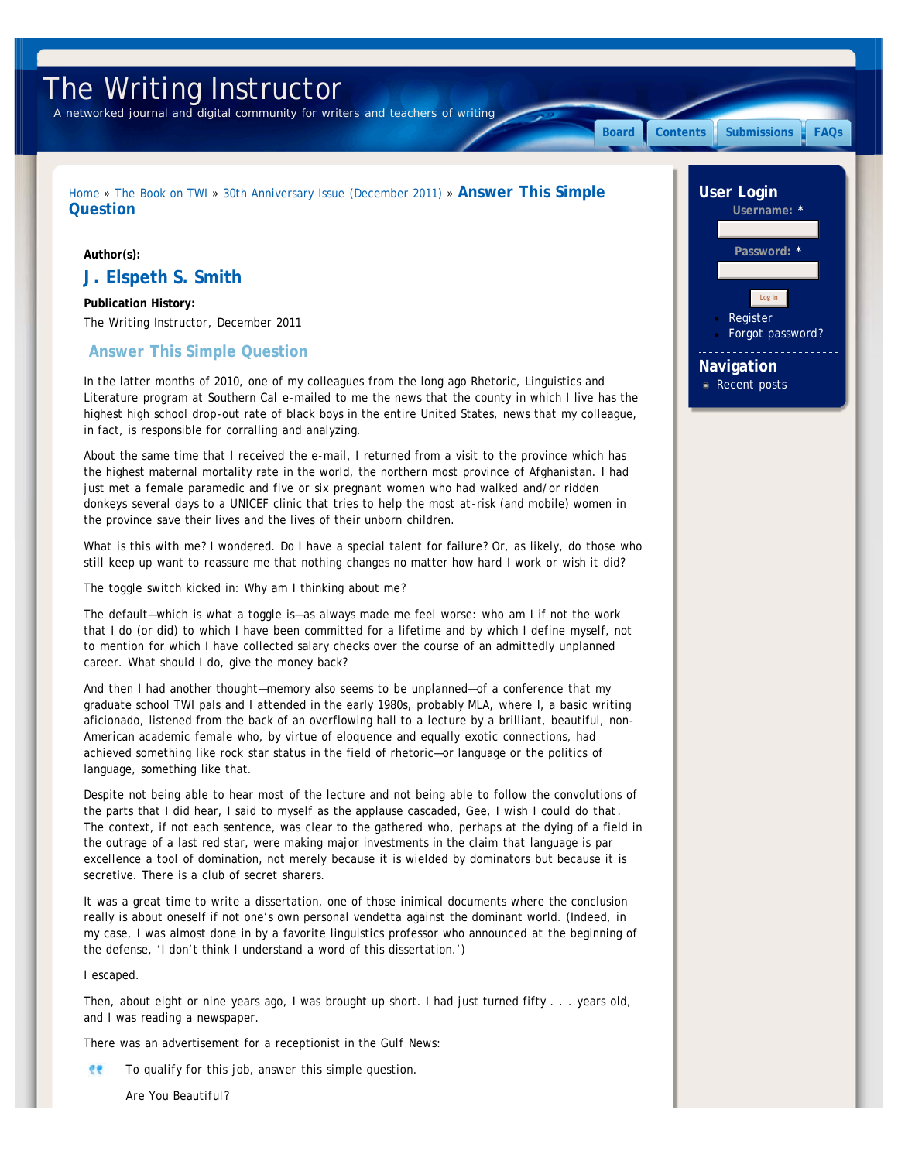# <span id="page-0-0"></span>The Writing Instructor

*A networked journal and digital community for writers and teachers of writing*

[Home](http://www.writinginstructor.com/) » [The Book on TWI](http://www.writinginstructor.com/twibook) » [30th Anniversary Issue \(December 2011\)](http://www.writinginstructor.com/30anniversary) » **Answer This Simple**

## **Author(s):**

**Question**

# **J. Elspeth S. Smith**

**Publication History:** *The Writing Instructor*, December 2011

# **Answer This Simple Question**

In the latter months of 2010, one of my colleagues from the long ago Rhetoric, Linguistics and Literature program at Southern Cal e-mailed to me the news that the county in which I live has the highest high school drop-out rate of black boys in the entire United States, news that my colleague, in fact, is responsible for corralling and analyzing.

About the same time that I received the e-mail, I returned from a visit to the province which has the highest maternal mortality rate in the world, the northern most province of Afghanistan. I had just met a female paramedic and five or six pregnant women who had walked and/or ridden donkeys several days to a UNICEF clinic that tries to help the most at-risk (and mobile) women in the province save their lives and the lives of their unborn children.

*What is this with me?* I wondered. Do I have a special talent for failure? Or, as likely, do those who still keep up want to reassure me that nothing changes no matter how hard I work or wish it did?

The toggle switch kicked in: Why am I thinking about *me*?

The default—which is what a toggle is—as always made me feel worse: *who am I* if not the work that I do (or did) to which I have been committed for a lifetime and by which I define myself, not to mention for which I have collected salary checks over the course of an admittedly unplanned career. What should I do, give the money back?

And then I had another thought—memory also seems to be unplanned—of a conference that my graduate school TWI pals and I attended in the early 1980s, probably MLA, where I, a *basic writing* aficionado, listened from the back of an overflowing hall to a lecture by a brilliant, beautiful, *non-American* academic female who, by virtue of eloquence and equally exotic connections, had achieved something like rock star status in the field of rhetoric—or language or the politics of language, something like that.

Despite not being able to hear most of the lecture and not being able to follow the convolutions of the parts that I did hear, I said to myself as the applause cascaded, *Gee, I wish I could do that*. The context, if not each sentence, was clear to the gathered who, perhaps at the dying of a field in the outrage of a last red star, were making major investments in the claim that language is *par excellence* a tool of domination, not merely because it is wielded by dominators but because it is secretive. There is a club of secret sharers.

It was a great time to write a dissertation, one of those inimical documents where the conclusion really is about oneself if not one's own personal vendetta against the dominant world. (Indeed, in my case, I was almost done in by a favorite linguistics professor who announced at the beginning of the defense, 'I don't think I understand a word of this dissertation.')

I escaped.

Then, about eight or nine years ago, I was brought up short. I had just turned fifty . . . years old, and I was reading a newspaper.

There was an advertisement for a receptionist in the *Gulf News*:

 $\partial \theta$ *To qualify for this job, answer this simple question.*

*Are You Beautiful?*

Password: **[Register](http://www.writinginstructor.com/user/register)** [Forgot password?](http://www.writinginstructor.com/user/password) Log in

**Username: \***

**[Board](http://www.writinginstructor.com/board) [Contents](http://www.writinginstructor.com/contents) [Submissions](http://www.writinginstructor.com/submissions) [FAQs](http://www.writinginstructor.com/editorialfaqs)**

**User Login**

**Navigation** [Recent posts](http://www.writinginstructor.com/tracker)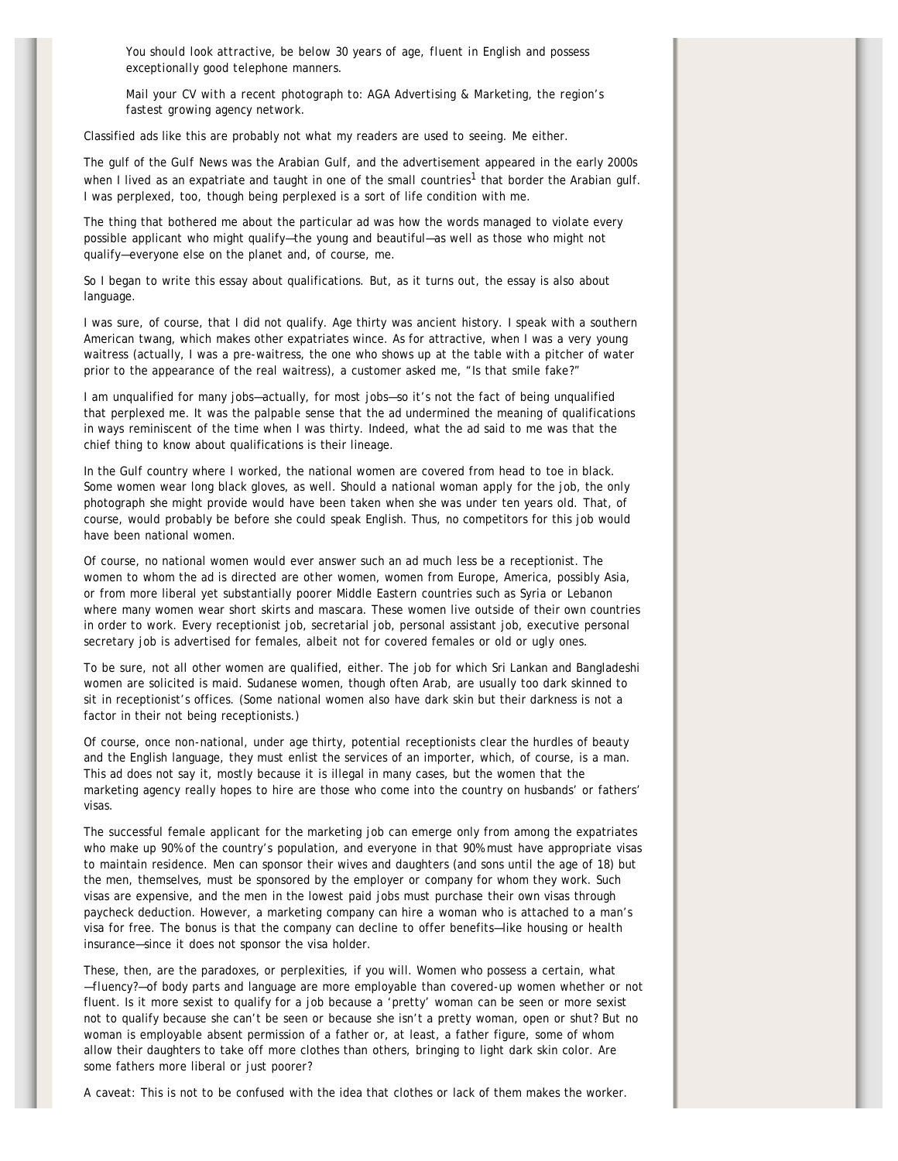*You should look attractive, be below 30 years of age, fluent in English and possess exceptionally good telephone manners.*

*Mail your CV with a recent photograph to: AGA Advertising & Marketing, the region's fastest growing agency network.*

Classified ads like this are probably not what my readers are used to seeing. Me either.

The gulf of the *Gulf News* was the Arabian Gulf, and the advertisement appeared in the early 2000s when I lived as an expatriate and taught in one of the small countries<sup>1</sup> that border the Arabian gulf. I was perplexed, too, though being perplexed is a sort of life condition with me.

The thing that bothered me about the particular ad was how the words managed to violate every possible applicant who might qualify—the young and beautiful—as well as those who might not qualify—everyone else on the planet and, of course, me.

So I began to write this essay about qualifications. But, as it turns out, the essay is also about language.

I was sure, of course, that I did not qualify. Age thirty was ancient history. I speak with a southern American twang, which makes other expatriates wince. As for attractive, when I was a very young waitress (actually, I was a pre-waitress, the one who shows up at the table with a pitcher of water prior to the appearance of the real waitress), a customer asked me, "Is that smile fake?"

I am unqualified for many jobs—actually, for most jobs—so it's not the fact of being unqualified that perplexed me. It was the palpable sense that the ad undermined the meaning of qualifications in ways reminiscent of the time when I *was* thirty. Indeed, what the ad said to me was that the chief thing to know about qualifications is their lineage.

In the Gulf country where I worked, the national women are covered from head to toe in black. Some women wear long black gloves, as well. Should a national woman apply for the job, the only photograph she might provide would have been taken when she was under ten years old. That, of course, would probably be before she could speak English. Thus, no competitors for this job would have been national women.

Of course, no national women would ever answer such an ad much less be a receptionist. The women to whom the ad is directed are *other* women, women from Europe, America, possibly Asia, or from more liberal yet substantially poorer Middle Eastern countries such as Syria or Lebanon where many women wear short skirts and mascara. These women live outside of their own countries in order to work. Every receptionist job, secretarial job, personal assistant job, executive personal secretary job is advertised for females, albeit not for covered females or old or ugly ones.

To be sure, not all other women are qualified, either. The job for which Sri Lankan and Bangladeshi women are solicited is maid. Sudanese women, though often Arab, are usually too dark skinned to sit in receptionist's offices. (Some national women also have dark skin but their darkness is not a factor in their not being receptionists.)

Of course, once non-national, under age thirty, potential receptionists clear the hurdles of beauty and the English language, they must enlist the services of an importer, which, of course, is a man. This ad does not say it, mostly because it is illegal in many cases, but the women that the marketing agency really hopes to hire are those who come into the country on husbands' or fathers' visas.

The successful female applicant for the marketing job can emerge only from among the expatriates who make up 90% of the country's population, and everyone in that 90% must have appropriate visas to maintain residence. Men can sponsor their wives and daughters (and sons until the age of 18) but the men, themselves, must be sponsored by the employer or company for whom they work. Such visas are expensive, and the men in the lowest paid jobs must purchase their own visas through paycheck deduction. However, a marketing company can hire a woman who is attached to a man's visa for free. The bonus is that the company can decline to offer benefits—like housing or health insurance—since it does not sponsor the visa holder.

These, then, are the paradoxes, or perplexities, if you will. Women who possess a certain, what —*fluency?*—of body parts and language are more employable than covered-up women whether or not fluent. Is it more sexist to qualify for a job because a 'pretty' woman can be seen or more sexist not to qualify because she can't be seen or because she isn't a pretty woman, open or shut? But no woman is employable absent permission of a father or, at least, a father figure, some of whom allow their daughters to take off more clothes than others, bringing to light dark skin color. Are some fathers more liberal or just poorer?

A caveat: This is not to be confused with the idea that clothes or lack of them makes the worker.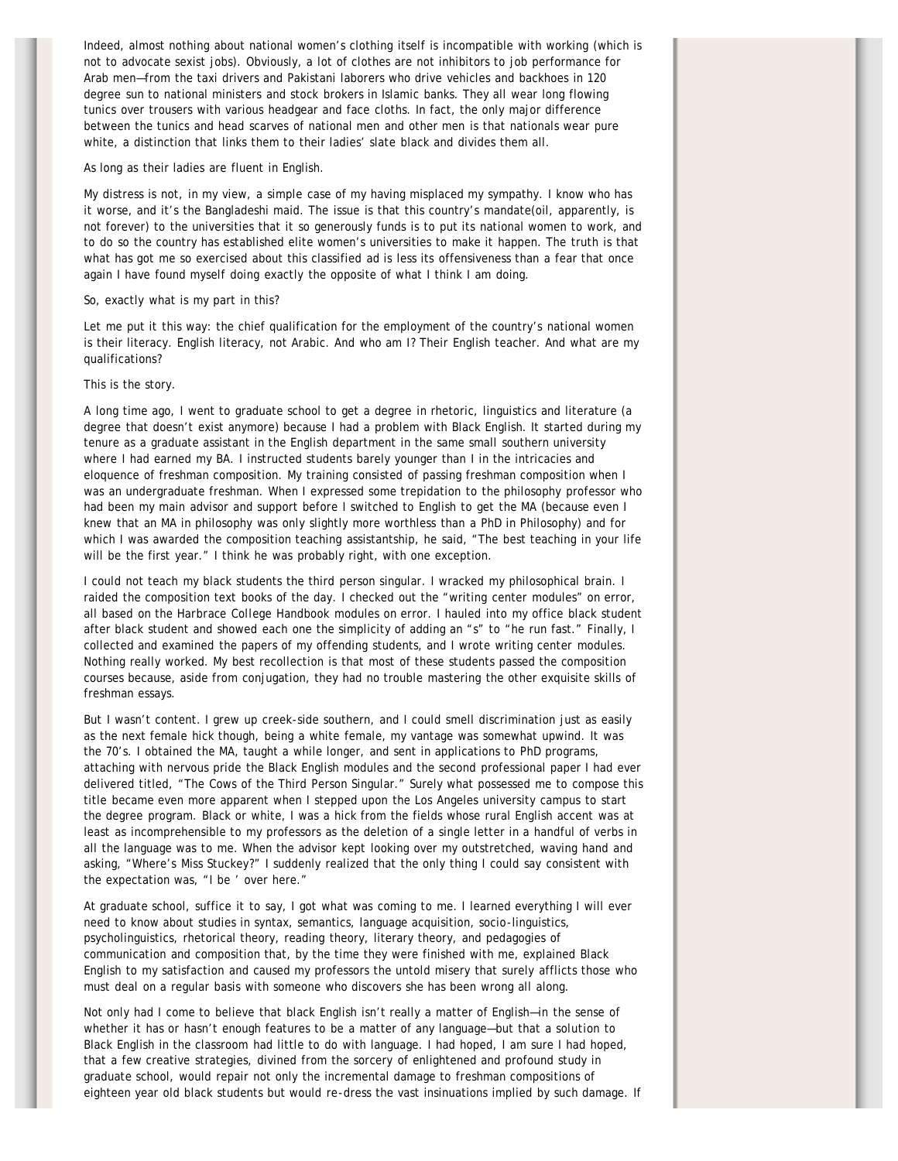Indeed, almost nothing about national women's clothing itself is incompatible with working (which is not to advocate sexist jobs). Obviously, a lot of clothes are not inhibitors to job performance for Arab men—from the taxi drivers and Pakistani laborers who drive vehicles and backhoes in 120 degree sun to national ministers and stock brokers in Islamic banks. They all wear long flowing tunics over trousers with various headgear and face cloths. In fact, the only major difference between the tunics and head scarves of national men and other men is that nationals wear pure white, a distinction that links them to their ladies' slate black and divides them all.

#### As long as their ladies are fluent in English.

My distress is not, in my view, a simple case of my having misplaced my sympathy. I know who has it worse, and it's the Bangladeshi maid. The issue is that this country's mandate(oil, apparently, is not forever) to the universities that it so generously funds is to put its national women to work, and to do so the country has established elite women's universities to make it happen. The truth is that what has got me so exercised about this classified ad is less its offensiveness than a fear that once again I have found myself doing exactly the opposite of what I think I am doing.

#### So, exactly what is my part in this?

Let me put it this way: the chief qualification for the employment of the country's national women is their literacy. English literacy, not Arabic. And who am I? Their English teacher. And what are my qualifications?

## This is the story.

A long time ago, I went to graduate school to get a degree in rhetoric, linguistics and literature (a degree that doesn't exist anymore) because I had a problem with Black English. It started during my tenure as a graduate assistant in the English department in the same small southern university where I had earned my BA. I instructed students barely younger than I in the intricacies and eloquence of freshman composition. My training consisted of passing freshman composition when I was an undergraduate freshman. When I expressed some trepidation to the philosophy professor who had been my main advisor and support before I switched to English to get the MA (because even I knew that an MA in philosophy was only slightly more worthless than a PhD in Philosophy) and for which I was awarded the composition teaching assistantship, he said, "The best teaching in your life will be the first year." I think he was probably right, with one exception.

I could not teach my black students the third person singular. I wracked my philosophical brain. I raided the composition text books of the day. I checked out the "writing center modules" on error, all based on the *Harbrace College Handbook* modules on error. I hauled into my office black student after black student and showed each one the simplicity of adding an "s" to "he run fast." Finally, I collected and examined the papers of my offending students, and *I* wrote writing center modules. Nothing really worked. My best recollection is that most of these students passed the composition courses because, aside from conjugation, they had no trouble mastering the other exquisite skills of freshman essays.

But I wasn't content. I grew up creek-side southern, and I could smell discrimination just as easily as the next female hick though, being a white female, my vantage was somewhat upwind. It was the 70's. I obtained the MA, taught a while longer, and sent in applications to PhD programs, attaching with nervous pride the Black English modules and the second professional paper I had ever delivered titled, "The Cows of the Third Person Singular." Surely what possessed me to compose this title became even more apparent when I stepped upon the Los Angeles university campus to start the degree program. Black or white, I was a hick from the fields whose rural English accent was at least as incomprehensible to my professors as the deletion of a single letter in a handful of verbs in all the language was to me. When the advisor kept looking over my outstretched, waving hand and asking, "Where's Miss Stuckey?" I suddenly realized that the only thing I could say consistent with the expectation was, "I be ' over here."

At graduate school, suffice it to say, I got what was coming to me. I learned everything I will ever need to know about studies in syntax, semantics, language acquisition, socio-linguistics, psycholinguistics, rhetorical theory, reading theory, literary theory, and pedagogies of communication and composition that, by the time they were finished with me, explained Black English to my satisfaction and caused my professors the untold misery that surely afflicts those who must deal on a regular basis with someone who discovers she has been wrong all along.

Not only had I come to believe that black English isn't really a matter of English—in the sense of whether it has or hasn't enough features to be a matter of any language—but that a *solution* to Black English in the classroom had little to do with language. I had hoped, I am sure I had hoped, that a few creative strategies, divined from the sorcery of enlightened and profound study in graduate school, would repair not only the incremental damage to freshman compositions of eighteen year old black students but would re-dress the vast insinuations implied by such damage. If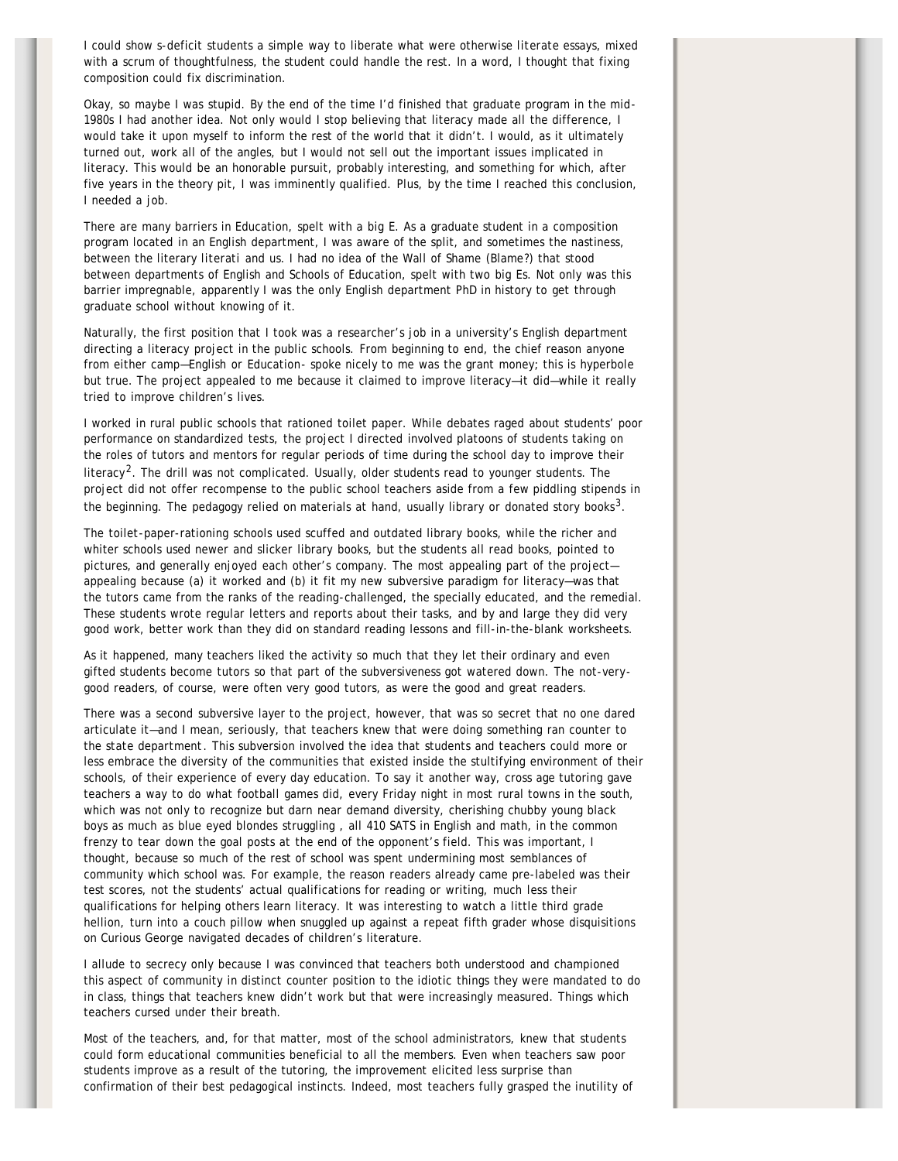I could show s-deficit students a simple way to liberate what were otherwise *literate* essays, mixed with a scrum of thoughtfulness, the student could handle the rest. In a word, I thought that fixing composition could fix discrimination.

Okay, so maybe I was stupid. By the end of the time I'd finished that graduate program in the mid-1980s I had another idea. Not only would I stop believing that literacy made all the difference, I would take it upon myself to inform the rest of the world that it didn't. I would, as it ultimately turned out, work all of the angles, but I would not sell out the important issues implicated in literacy. This would be an honorable pursuit, probably interesting, and something for which, after five years in the theory pit, I was imminently qualified. Plus, by the time I reached this conclusion, I needed a job.

There are many barriers in Education, spelt with a big E. As a graduate student in a composition program located in an English department, I was aware of the split, and sometimes the nastiness, between the literary *literati* and us. I had no idea of the Wall of Shame (Blame?) that stood between departments of English and Schools of Education, spelt with two big Es. Not only was this barrier impregnable, apparently I was the only English department PhD in history to get through graduate school without knowing of it.

Naturally, the first position that I took was a researcher's job in a university's English department directing a literacy project in the public schools. From beginning to end, the chief reason anyone from either camp—English or Education- spoke nicely to me was the grant money; this is hyperbole but true. The project appealed to me because it claimed to improve literacy—it did—while it really tried to improve children's lives.

I worked in rural public schools that rationed toilet paper. While debates raged about students' poor performance on standardized tests, the project I directed involved platoons of students taking on the roles of tutors and mentors for regular periods of time during the school day to improve their literacy<sup>2</sup>. The drill was not complicated. Usually, older students read to younger students. The project did not offer recompense to the public school teachers aside from a few piddling stipends in the beginning. The pedagogy relied on materials at hand, usually library or donated story books<sup>3</sup>.

The toilet-paper-rationing schools used scuffed and outdated library books, while the richer and whiter schools used newer and slicker library books, but the students all read books, pointed to pictures, and generally enjoyed each other's company. The most appealing part of the project appealing because (a) it worked and (b) it fit my new subversive paradigm for literacy—was that the tutors came from the ranks of the reading-challenged, the specially educated, and the remedial. These students wrote regular letters and reports about their tasks, and by and large they did very good work, better work than they did on standard reading lessons and fill-in-the-blank worksheets.

As it happened, many teachers liked the activity so much that they let their ordinary and even gifted students become tutors so that part of the subversiveness got watered down. The not-verygood readers, of course, were often very good tutors, as were the good and great readers.

There was a second subversive layer to the project, however, that was so secret that no one dared articulate it—and I mean, seriously, that teachers *knew* that were doing something ran counter to the *state department*. This subversion involved the idea that students and teachers could more or less embrace the diversity of the communities that existed inside the stultifying environment of their schools, of their experience of every day education. To say it another way, cross age tutoring gave teachers a way to do what football games did, every Friday night in most rural towns in the south, which was not only to recognize but darn near demand diversity, cherishing chubby young black boys as much as blue eyed blondes struggling , all 410 SATS in English and math, in the common frenzy to tear down the goal posts at the end of the opponent's field. This was important, I thought, because so much of the rest of school was spent undermining most semblances of community which school was. For example, the reason readers already came pre-labeled was their test scores, not the students' actual qualifications for reading or writing, much less their qualifications for helping others learn literacy. It was interesting to watch a little third grade hellion, turn into a couch pillow when snuggled up against a repeat fifth grader whose disquisitions on Curious George navigated decades of children's literature.

I allude to secrecy only because I was convinced that teachers both understood and championed this aspect of community in distinct counter position to the idiotic things they were mandated to do in class, things that teachers knew didn't work but that were increasingly measured. Things which teachers cursed under their breath.

Most of the teachers, and, for that matter, most of the school administrators, knew that students could form educational communities beneficial to all the members. Even when teachers saw poor students improve as a result of the tutoring, the improvement elicited less surprise than confirmation of their best pedagogical instincts. Indeed, most teachers fully grasped the inutility of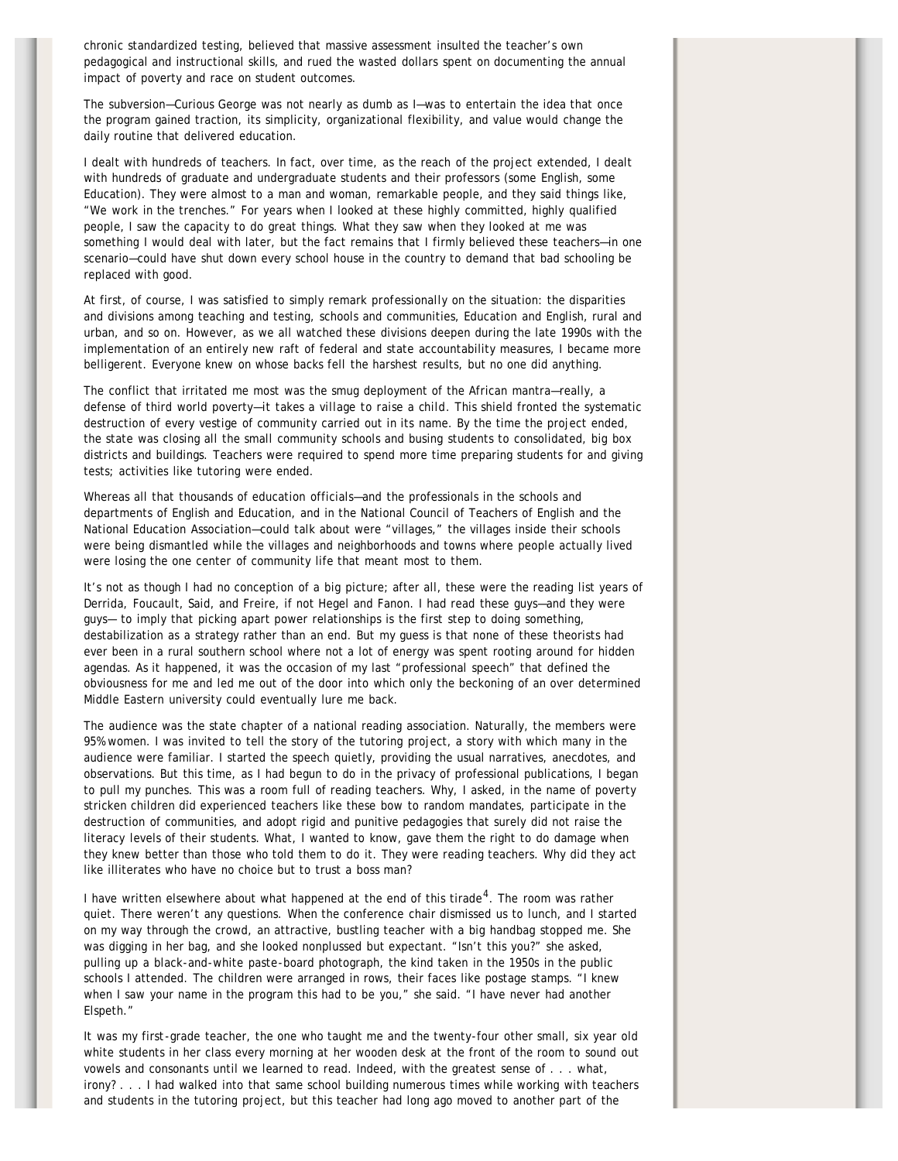chronic standardized testing, believed that massive assessment insulted the teacher's own pedagogical and instructional skills, and rued the wasted dollars spent on documenting the annual impact of poverty and race on student outcomes.

The subversion—Curious George was not nearly as dumb as I—was to entertain the idea that once the program gained traction, its simplicity, organizational flexibility, and value would change the daily routine that delivered education.

I dealt with hundreds of teachers. In fact, over time, as the reach of the project extended, I dealt with hundreds of graduate and undergraduate students and their professors (some English, some Education). They were almost to a man and woman, remarkable people, and they said things like, "We work in the trenches." For years when I looked at these highly committed, highly qualified people, I saw the capacity to do great things. What they saw when they looked at me was something I would deal with later, but the fact remains that I firmly believed these teachers-in one scenario—could have shut down every school house in the country to demand that bad schooling be replaced with good.

At first, of course, I was satisfied to simply remark *professionally* on the situation: the disparities and divisions among teaching and testing, schools and communities, Education and English, rural and urban, and so on. However, as we all watched these divisions deepen during the late 1990s with the implementation of an entirely new raft of federal and state accountability measures, I became more belligerent. Everyone knew on whose backs fell the harshest results, but no one did anything.

The conflict that irritated me most was the smug deployment of the African mantra—really, a defense of third world poverty—*it takes a village to raise a child*. This shield fronted the systematic destruction of every vestige of community carried out in its name. By the time the project ended, the state was closing all the small community schools and busing students to consolidated, big box districts and buildings. Teachers were required to spend more time preparing students for and giving tests; activities like tutoring were ended.

Whereas all that thousands of education officials—and the professionals in the schools and departments of English and Education, and in the National Council of Teachers of English and the National Education Association—could talk about were "villages," the villages inside their schools were being dismantled while the villages and neighborhoods and towns where people actually lived were losing the one center of community life that meant most to them.

It's not as though I had no conception of a big picture; after all, these were the reading list years of Derrida, Foucault, Said, and Freire, if not Hegel and Fanon. I had read these guys—and they were guys— to imply that picking apart power relationships is the first step to doing something, destabilization as a strategy rather than an end. But my guess is that none of these theorists had ever been in a rural southern school where not a lot of energy was spent rooting around for hidden agendas. As it happened, it was the occasion of my last "professional speech" that defined the obviousness for me and led me out of the door into which only the beckoning of an over determined Middle Eastern university could eventually lure me back.

The audience was the state chapter of a national reading association. Naturally, the members were 95% women. I was invited to tell the story of the tutoring project, a story with which many in the audience were familiar. I started the speech quietly, providing the usual narratives, anecdotes, and observations. But this time, as I had begun to do in the privacy of professional publications, I began to pull my punches. This was a room full of reading teachers. Why, I asked, in the name of poverty stricken children did experienced teachers like these bow to random mandates, participate in the destruction of communities, and adopt rigid and punitive pedagogies that surely did not raise the literacy levels of their students. What, I wanted to know, gave them the right to do damage when they knew better than those who told them to do it. They were *reading* teachers. Why did they act like illiterates who have no choice but to trust a boss man?

I have written elsewhere about what happened at the end of this tirade<sup>4</sup>. The room was rather quiet. There weren't any questions. When the conference chair dismissed us to lunch, and I started on my way through the crowd, an attractive, bustling teacher with a big handbag stopped me. She was digging in her bag, and she looked nonplussed but expectant. "Isn't this you?" she asked, pulling up a black-and-white paste-board photograph, the kind taken in the 1950s in the public schools I attended. The children were arranged in rows, their faces like postage stamps. "I knew when I saw your name in the program this had to be you," she said. "I have never had another Elspeth."

It was my first-grade teacher, the one who taught me and the twenty-four other small, six year old white students in her class every morning at her wooden desk at the front of the room to sound out vowels and consonants until we learned to read. Indeed, with the greatest sense of . . . what, irony? . . . I had walked into that same school building numerous times while working with teachers and students in the tutoring project, but this teacher had long ago moved to another part of the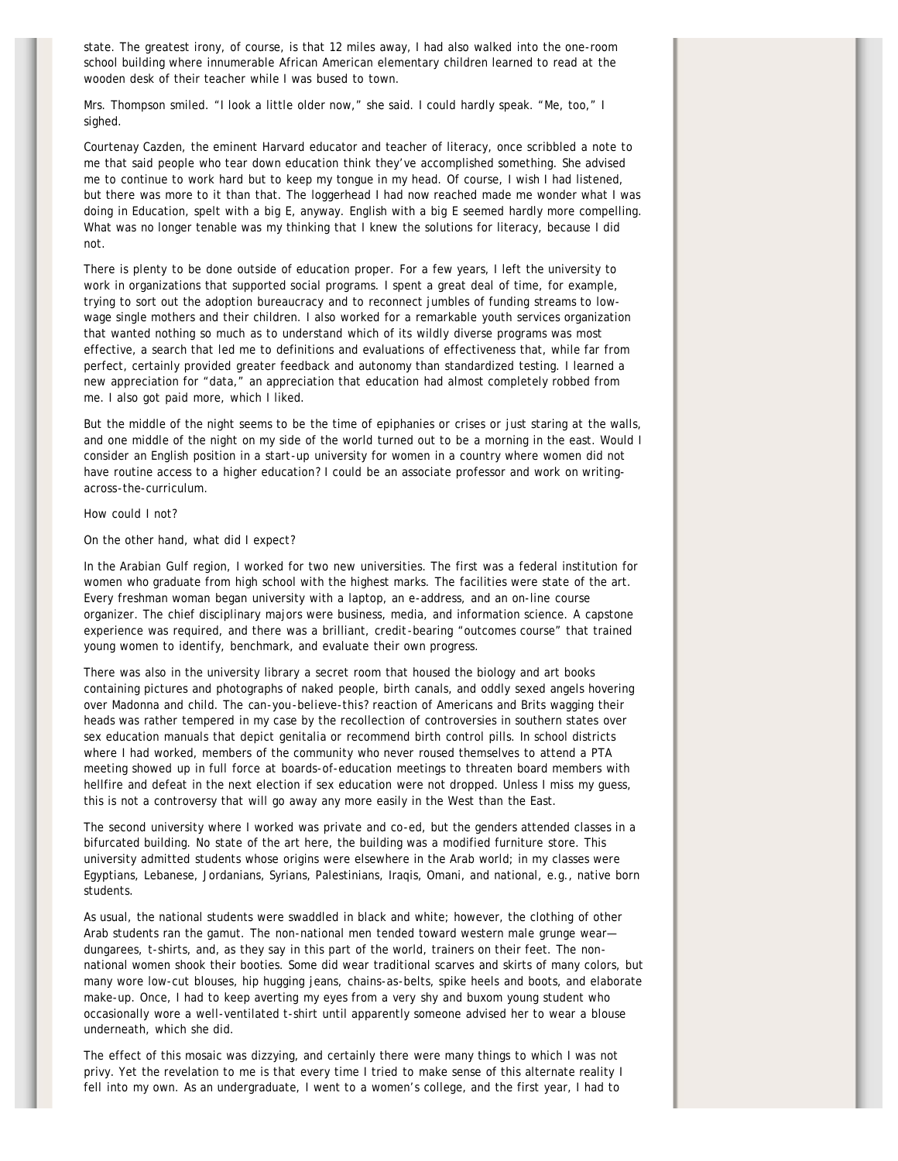state. The greatest irony, of course, is that 12 miles away, I had also walked into the one-room school building where innumerable African American elementary children learned to read at the wooden desk of their teacher while I was bused to town.

Mrs. Thompson smiled. "I look a little older now," she said. I could hardly speak. "Me, too," I sighed.

Courtenay Cazden, the eminent Harvard educator and teacher of literacy, once scribbled a note to me that said people who tear down education think they've accomplished something. She advised me to continue to work hard but to keep my tongue in my head. Of course, I wish I had listened, but there was more to it than that. The loggerhead I had now reached made me wonder what I was doing in Education, spelt with a big E, anyway. English with a big E seemed hardly more compelling. What was no longer tenable was my thinking that I knew the solutions for literacy, because I did not.

There is plenty to be done outside of education proper. For a few years, I left the university to work in organizations that supported social programs. I spent a great deal of time, for example, trying to sort out the adoption bureaucracy and to reconnect jumbles of funding streams to lowwage single mothers and their children. I also worked for a remarkable youth services organization that wanted nothing so much as to understand which of its wildly diverse programs was most effective, a search that led me to definitions and evaluations of effectiveness that, while far from perfect, certainly provided greater feedback and autonomy than standardized testing. I learned a new appreciation for "data," an appreciation that education had almost completely robbed from me. I also got paid more, which I liked.

But the middle of the night seems to be the time of epiphanies or crises or just staring at the walls, and one middle of the night on my side of the world turned out to be a morning in the east. Would I consider an English position in a start-up university for women in a country where women did not have routine access to a higher education? I could be an associate professor and work on writingacross-the-curriculum.

### How could I not?

On the other hand, what did I expect?

In the Arabian Gulf region, I worked for two new universities. The first was a federal institution for women who graduate from high school with the highest marks. The facilities were state of the art. Every freshman woman began university with a laptop, an e-address, and an on-line course organizer. The chief disciplinary majors were business, media, and information science. A capstone experience was required, and there was a brilliant, credit-bearing "outcomes course" that trained young women to identify, benchmark, and evaluate their own progress.

There was also in the university library a secret room that housed the biology and art books containing pictures and photographs of naked people, birth canals, and oddly sexed angels hovering over Madonna and child. The *can-you-believe-this?* reaction of Americans and Brits wagging their heads was rather tempered in my case by the recollection of controversies in southern states over sex education manuals that depict genitalia or recommend birth control pills. In school districts where I had worked, members of the community who never roused themselves to attend a PTA meeting showed up in full force at boards-of-education meetings to threaten board members with hellfire and defeat in the next election if sex education were not dropped. Unless I miss my quess, this is not a controversy that will go away any more easily in the West than the East.

The second university where I worked was private and co-ed, but the genders attended classes in a bifurcated building. No state of the art here, the building was a modified furniture store. This university admitted students whose origins were elsewhere in the Arab world; in my classes were Egyptians, Lebanese, Jordanians, Syrians, Palestinians, Iraqis, Omani, *and* national, e.g., native born students.

As usual, the national students were swaddled in black and white; however, the clothing of other Arab students ran the gamut. The non-national men tended toward western male grunge wear dungarees, t-shirts, and, as they say in this part of the world, trainers on their feet. The nonnational women shook their booties. Some did wear traditional scarves and skirts of many colors, but many wore low-cut blouses, hip hugging jeans, chains-as-belts, spike heels and boots, and elaborate make-up. Once, I had to keep averting my eyes from a very shy and buxom young student who occasionally wore a well-ventilated t-shirt until apparently someone advised her to wear a blouse underneath, which she did.

The effect of this mosaic was dizzying, and certainly there were many things to which I was not privy. Yet the revelation to me is that every time I tried to make sense of this alternate reality I fell into my own. As an undergraduate, *I* went to a women's college, and the first year, *I* had to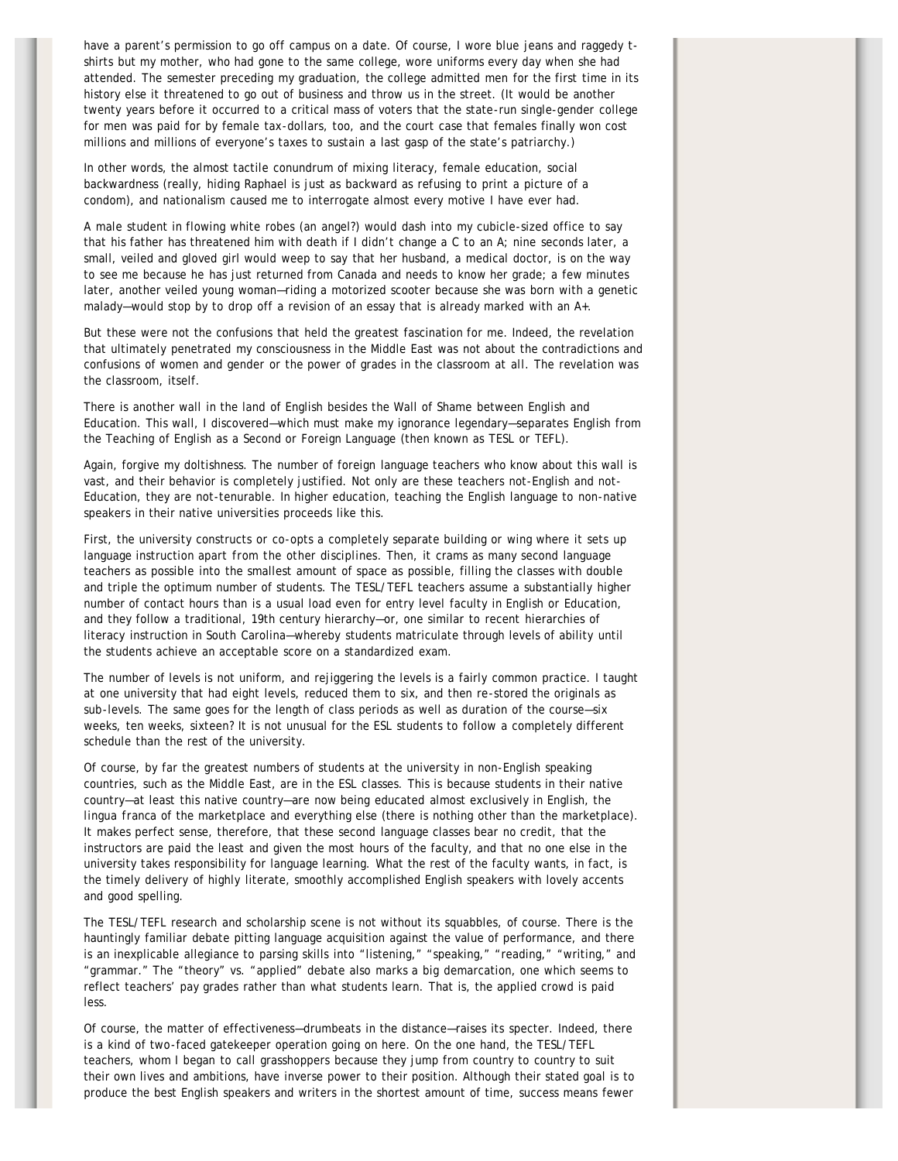have a parent's permission to go off campus on a date. Of course, I wore blue jeans and raggedy tshirts but my mother, who had gone to the same college, wore uniforms every day when she had attended. The semester preceding my graduation, the college admitted men for the first time in its history else it threatened to go out of business and throw us in the street. (It would be another twenty years before it occurred to a critical mass of voters that the state-run single-gender college for men was paid for by female tax-dollars, too, and the court case that females finally won cost millions and millions of everyone's taxes to sustain a last gasp of the state's patriarchy.)

In other words, the almost tactile conundrum of mixing literacy, female education, social backwardness (really, hiding Raphael is just as backward as refusing to print a picture of a condom), and nationalism caused me to interrogate almost every motive I have ever had.

A male student in flowing white robes (an angel?) would dash into my cubicle-sized office to say that his father has threatened him with death if I didn't change a C to an A; nine seconds later, a small, veiled and gloved girl would weep to say that her husband, a medical doctor, is on the way to see me because he has just returned from Canada and needs to know her grade; a few minutes later, another veiled young woman—riding a motorized scooter because she was born with a genetic malady—would stop by to drop off a revision of an essay that is already marked with an A+.

But these were not the confusions that held the greatest fascination for me. Indeed, the revelation that ultimately penetrated my consciousness in the Middle East was not about the contradictions and confusions of women and gender or the power of grades in the classroom *at all*. The revelation was the classroom, itself.

There is another wall in the land of English besides the Wall of Shame between English and Education. This wall, I discovered—which must make my ignorance legendary—separates English from the Teaching of English as a Second or Foreign Language (then known as TESL or TEFL).

Again, forgive my doltishness. The number of foreign language teachers who know about this wall is vast, and their behavior is completely justified. Not only are these teachers not-English and not-Education, they are not-tenurable. In higher education, teaching the English language to non-native speakers in their native universities proceeds like this.

First, the university constructs or co-opts a completely separate building or wing where it sets up language instruction *apart from the other disciplines*. Then, it crams as many second language teachers as possible into the smallest amount of space as possible, filling the classes with double and triple the optimum number of students. The TESL/TEFL teachers assume a substantially higher number of contact hours than is a usual load even for entry level faculty in English or Education, and they follow a traditional, 19th century hierarchy—or, one similar to recent hierarchies of literacy instruction in South Carolina—whereby students matriculate through levels of ability until the students achieve an acceptable score on a standardized exam.

The number of levels is not uniform, and rejiggering the levels is a fairly common practice. I taught at one university that had eight levels, reduced them to six, and then re-stored the originals as sub-levels. The same goes for the length of class periods as well as duration of the course—six weeks, ten weeks, sixteen? It is not unusual for the ESL students to follow a completely different schedule than the rest of the university.

Of course, by far the greatest numbers of students at the university in non-English speaking countries, such as the Middle East, are in the ESL classes. This is because students in their native country—at least this native country—are now being educated almost exclusively in English, the *lingua franca* of the marketplace and everything else (there is nothing other than the marketplace). It makes perfect sense, therefore, that these second language classes bear no credit, that the instructors are paid the least and given the most hours of the faculty, and that no one else in the university takes responsibility for language learning. What the rest of the faculty wants, in fact, is the timely delivery of highly literate, smoothly accomplished English speakers with lovely accents and good spelling.

The TESL/TEFL research and scholarship scene is not without its squabbles, of course. There is the hauntingly familiar debate pitting language acquisition against the value of performance, and there is an inexplicable allegiance to parsing skills into "listening," "speaking," "reading," "writing," and "grammar." The "theory" vs. "applied" debate also marks a big demarcation, one which seems to reflect teachers' pay grades rather than what students learn. That is, the applied crowd is paid less.

Of course, the matter of effectiveness—drumbeats in the distance—raises its specter. Indeed, there is a kind of two-faced gatekeeper operation going on here. On the one hand, the TESL/TEFL teachers, whom I began to call grasshoppers because they jump from country to country to suit their own lives and ambitions, have inverse power to their position. Although their stated goal is to produce the best English speakers and writers in the shortest amount of time, success means fewer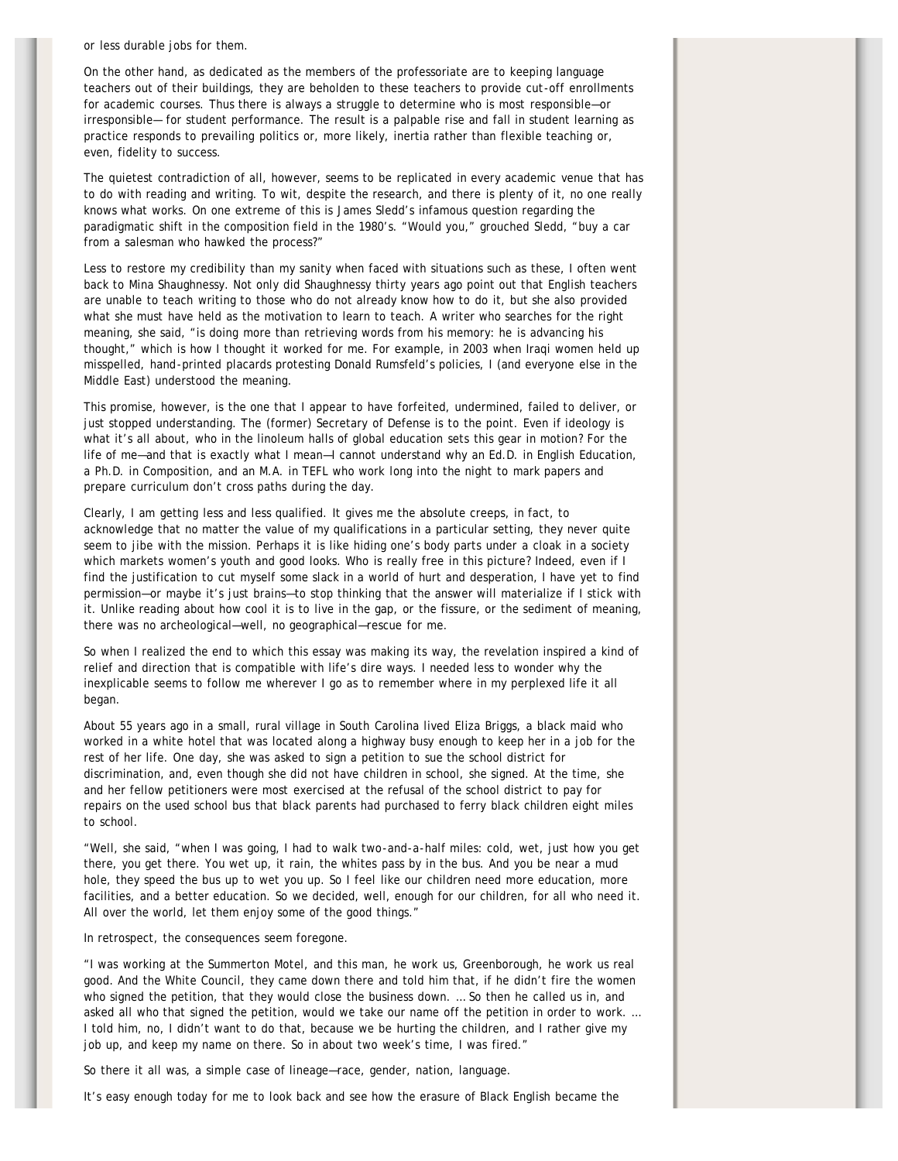or less durable jobs for them.

On the other hand, as dedicated as the members of the professoriate are to keeping language teachers out of their buildings, they are beholden to these teachers to provide cut-off enrollments for academic courses. Thus there is always a struggle to determine who is most responsible—or irresponsible— for student performance. The result is a palpable rise and fall in student learning as practice responds to prevailing politics or, more likely, inertia rather than flexible teaching or, even, fidelity to success.

The quietest contradiction of all, however, seems to be replicated in every academic venue that has to do with reading and writing. To wit, despite the research, and there is plenty of it, no one really knows what works. On one extreme of this is James Sledd's infamous question regarding the paradigmatic shift in the composition field in the 1980's. "Would you," grouched Sledd, "buy a car from a salesman who hawked the process?"

Less to restore my credibility than my sanity when faced with situations such as these, I often went back to Mina Shaughnessy. Not only did Shaughnessy thirty years ago point out that English teachers are unable to teach writing to those who do not already know how to do it, but she also provided what she must have held as the motivation to learn to teach. A writer who searches for the right meaning, she said, "is doing more than retrieving words from his memory: he is advancing his thought," which is how I thought it worked for me. For example, in 2003 when Iraqi women held up misspelled, hand-printed placards protesting Donald Rumsfeld's policies, I (and everyone else in the Middle East) understood the meaning.

This promise, however, is the one that I appear to have forfeited, undermined, failed to deliver, or just stopped understanding. The (former) Secretary of Defense is to the point. Even if ideology is what it's all about, who in the linoleum halls of global education sets this gear in motion? For the life of me—and that is exactly what I mean—I cannot understand why an Ed.D. in English Education, a Ph.D. in Composition, and an M.A. in TEFL who work long into the night to mark papers and prepare curriculum don't cross paths during the day.

Clearly, I am getting less and less qualified. It gives me the absolute creeps, in fact, to acknowledge that no matter the value of my qualifications in a particular setting, they never quite seem to jibe with the mission. Perhaps it is like hiding one's body parts under a cloak in a society which markets women's youth and good looks. Who is really free in this picture? Indeed, even if I find the justification to cut myself some slack in a world of hurt and desperation, I have yet to find permission—or maybe it's just brains—to stop thinking that the answer will materialize if I stick with it. Unlike reading about how cool it is to live in the gap, or the fissure, or the sediment of meaning, there was no archeological—well, no geographical—rescue for me.

So when I realized the end to which this essay was making its way, the revelation inspired a kind of relief and direction that is compatible with life's dire ways. I needed less to wonder why the inexplicable seems to follow me wherever I go as to remember where in my perplexed life it all began.

About 55 years ago in a small, rural village in South Carolina lived Eliza Briggs, a black maid who worked in a white hotel that was located along a highway busy enough to keep her in a job for the rest of her life. One day, she was asked to sign a petition to sue the school district for discrimination, and, even though she did not have children in school, she signed. At the time, she and her fellow petitioners were most exercised at the refusal of the school district to pay for repairs on the used school bus that black parents had purchased to ferry black children eight miles to school.

"Well, she said, "when I was going, I had to walk two-and-a-half miles: cold, wet, just how you get there, you get there. You wet up, it rain, the whites pass by in the bus. And you be near a mud hole, they speed the bus up to wet you up. So I feel like our children need more education, more facilities, and a better education. So we decided, well, enough for our children, for all who need it. All over the world, let them enjoy some of the good things."

In retrospect, the consequences seem foregone.

"I was working at the Summerton Motel, and this man, he work us, Greenborough, he work us real good. And the White Council, they came down there and told him that, if he didn't fire the women who signed the petition, that they would close the business down. ... So then he called us in, and asked all who that signed the petition, would we take our name off the petition in order to work. … I told him, no, I didn't want to do that, because we be hurting the children, and I rather give my job up, and keep my name on there. So in about two week's time, I was fired."

So there it all was, a simple case of lineage—race, gender, nation, language.

It's easy enough today for me to look back and see how the erasure of Black English became the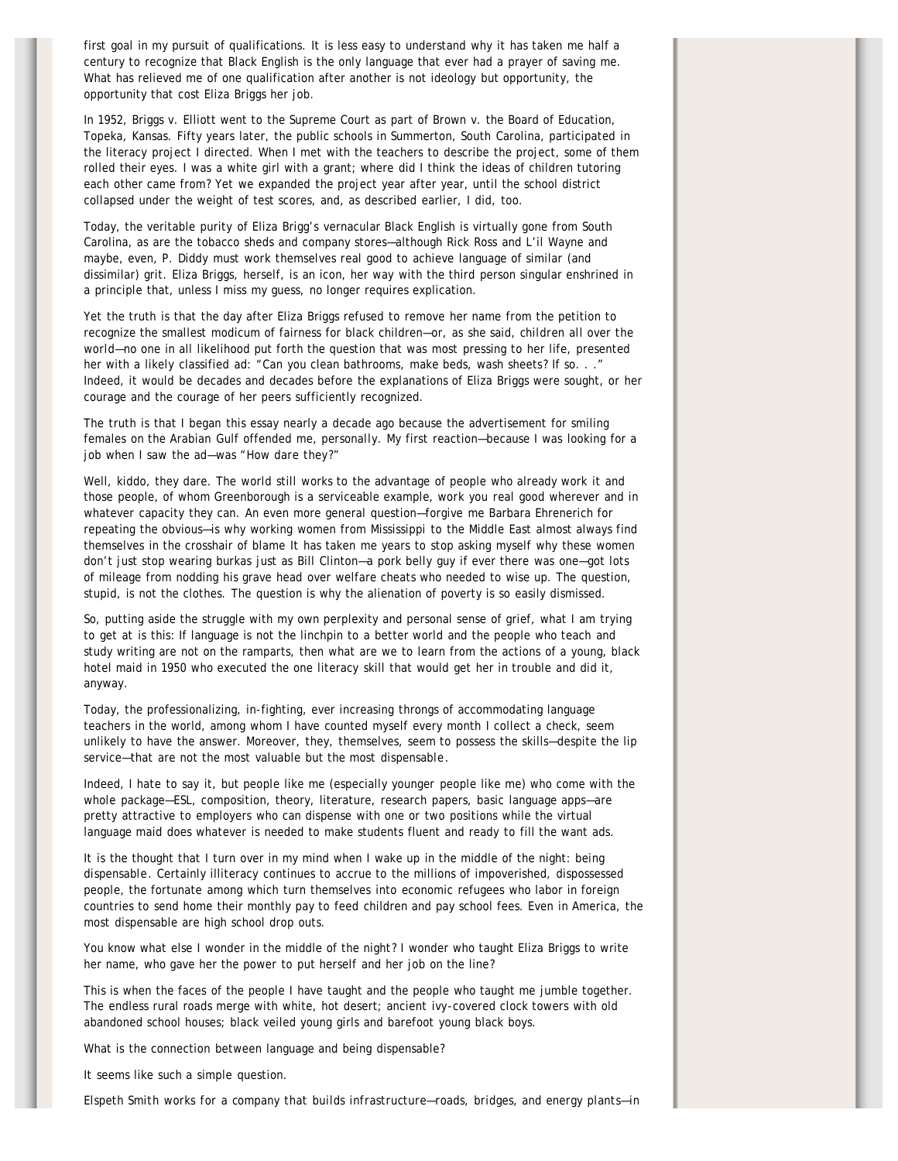first goal in my pursuit of qualifications. It is less easy to understand why it has taken me half a century to recognize that Black English is the only language that ever had a prayer of saving me. What has relieved me of one qualification after another is not ideology but opportunity, the opportunity that cost Eliza Briggs her job.

In 1952, Briggs v. Elliott went to the Supreme Court as part of Brown v. the Board of Education, Topeka, Kansas. Fifty years later, the public schools in Summerton, South Carolina, participated in the literacy project I directed. When I met with the teachers to describe the project, some of them rolled their eyes. I was a white girl with a grant; where did I think the ideas of children tutoring each other came from? Yet we expanded the project year after year, until the school district collapsed under the weight of test scores, and, as described earlier, I did, too.

Today, the veritable purity of Eliza Brigg's vernacular Black English is virtually gone from South Carolina, as are the tobacco sheds and company stores—although Rick Ross and L'il Wayne and maybe, even, P. Diddy must *work themselves real good* to achieve language of similar (and dissimilar) grit. Eliza Briggs, herself, is an icon, her way with the third person singular enshrined in a principle that, unless I miss my guess, no longer requires explication.

Yet the truth is that the day after Eliza Briggs refused to remove her name from the petition to recognize the smallest modicum of fairness for black children—or, as she said, *children all over the world*—no one in all likelihood put forth the question that was most pressing to her life, presented her with a likely classified ad: "Can you clean bathrooms, make beds, wash sheets? If so. . ." Indeed, it would be decades and decades before the explanations of Eliza Briggs were sought, or her courage and the courage of her peers sufficiently recognized.

The truth is that I began this essay nearly a decade ago because the advertisement for smiling females on the Arabian Gulf offended me, *personally*. My first reaction—because I was looking for a job when I saw the ad—was *"How dare they?"*

Well, kiddo, they dare. The world still works to the advantage of people who already work it and those people, of whom Greenborough is a serviceable example, *work you real good* wherever and in whatever capacity they can. An even more general question—forgive me Barbara Ehrenerich for repeating the obvious—is why working women from Mississippi to the Middle East almost always find themselves in the crosshair of blame It has taken me years to stop asking myself why these women don't just stop wearing burkas just as Bill Clinton—a pork belly guy if ever there was one—got lots of mileage from nodding his grave head over welfare cheats who needed to wise up. The question, stupid, is not the clothes. The question is why the alienation of poverty is so easily dismissed.

So, putting aside the struggle with my own perplexity and personal sense of grief, what I am trying to get at is this: If language is not the linchpin to a better world and the people who teach and study writing are not on the ramparts, then what are we to learn from the actions of a young, black hotel maid in 1950 who executed the one literacy skill that would get her in trouble and did it, anyway.

Today, the professionalizing, in-fighting, ever increasing throngs of accommodating language teachers in the world, among whom I have counted myself every month I collect a check, seem unlikely to have the answer. Moreover, they, themselves, seem to possess the skills—despite the lip service—that are not the most valuable but the most *dispensable*.

Indeed, I hate to say it, but people like me (especially *younger* people like me) who come with the whole package—ESL, composition, theory, literature, research papers, basic language apps—are pretty attractive to employers who can dispense with one or two positions while the virtual language maid does whatever is needed to make students fluent and ready to fill the want ads.

It is the thought that I turn over in my mind when I wake up in the middle of the night: *being dispensable*. Certainly illiteracy continues to accrue to the millions of impoverished, dispossessed people, the fortunate among which turn themselves into economic refugees who labor in foreign countries to send home their monthly pay to feed children and pay school fees. Even in America, the most dispensable are high school drop outs.

You know what else I wonder in the middle of the night? I wonder who taught Eliza Briggs to write her name, who gave her the power to put herself and her job on the line?

This is when the faces of the people I have taught and the people who taught me jumble together. The endless rural roads merge with white, hot desert; ancient ivy-covered clock towers with old abandoned school houses; black veiled young girls and barefoot young black boys.

What is the connection between language and being dispensable?

It seems like such a simple question.

*Elspeth Smith works for a company that builds infrastructure—roads, bridges, and energy plants—in*